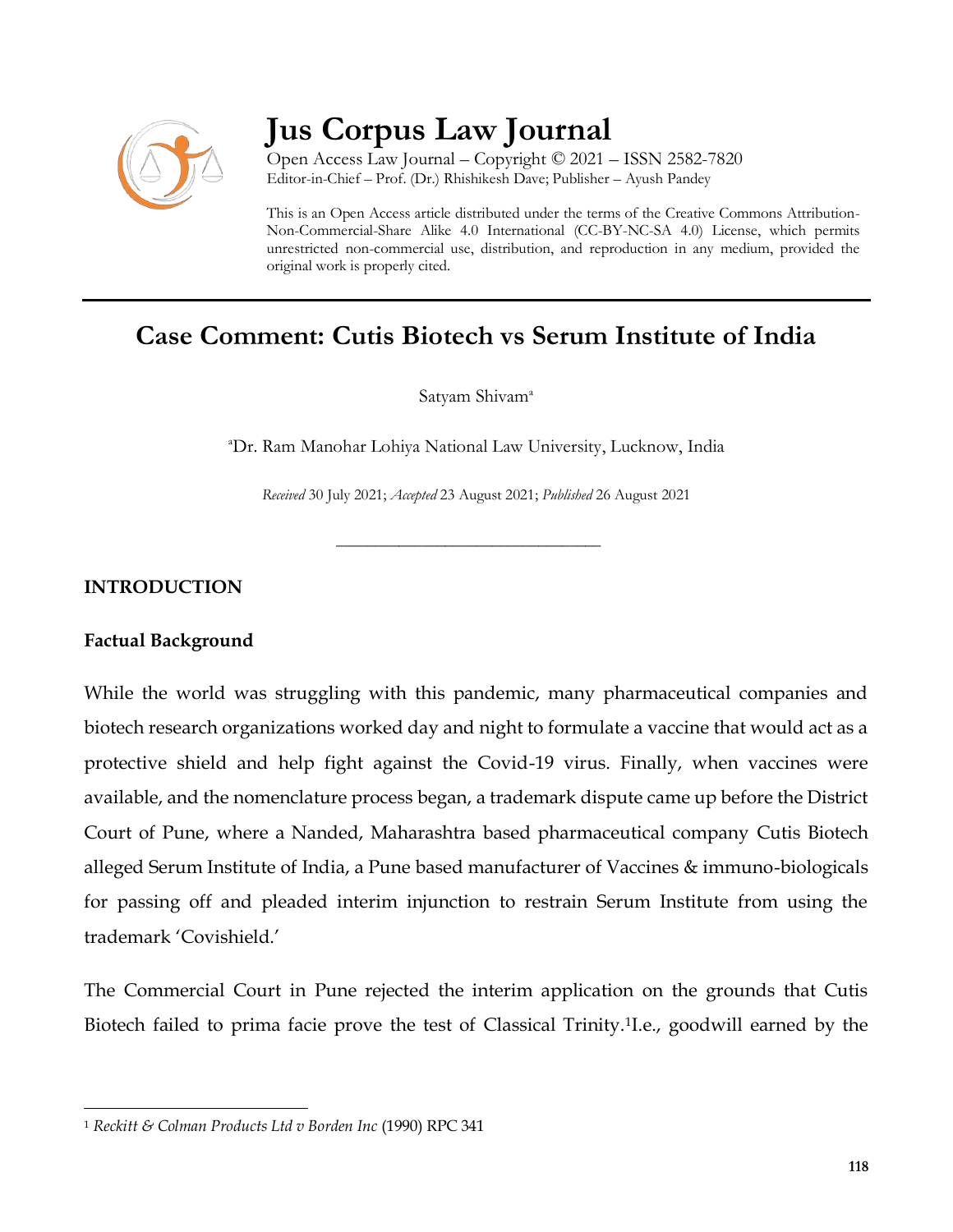

# **Jus Corpus Law Journal**

Open Access Law Journal – Copyright © 2021 – ISSN 2582-7820 Editor-in-Chief – Prof. (Dr.) Rhishikesh Dave; Publisher – Ayush Pandey

This is an Open Access article distributed under the terms of the Creative Commons Attribution-Non-Commercial-Share Alike 4.0 International (CC-BY-NC-SA 4.0) License, which permits unrestricted non-commercial use, distribution, and reproduction in any medium, provided the original work is properly cited.

## **Case Comment: Cutis Biotech vs Serum Institute of India**

Satyam Shivam<sup>a</sup>

<sup>a</sup>Dr. Ram Manohar Lohiya National Law University, Lucknow, India

*Received* 30 July 2021; *Accepted* 23 August 2021; *Published* 26 August 2021

\_\_\_\_\_\_\_\_\_\_\_\_\_\_\_\_\_\_\_\_\_\_\_\_\_\_\_\_\_\_\_\_\_\_

#### **INTRODUCTION**

#### **Factual Background**

 $\overline{\phantom{a}}$ 

While the world was struggling with this pandemic, many pharmaceutical companies and biotech research organizations worked day and night to formulate a vaccine that would act as a protective shield and help fight against the Covid-19 virus. Finally, when vaccines were available, and the nomenclature process began, a trademark dispute came up before the District Court of Pune, where a Nanded, Maharashtra based pharmaceutical company Cutis Biotech alleged Serum Institute of India, a Pune based manufacturer of Vaccines & immuno-biologicals for passing off and pleaded interim injunction to restrain Serum Institute from using the trademark 'Covishield.'

The Commercial Court in Pune rejected the interim application on the grounds that Cutis Biotech failed to prima facie prove the test of Classical Trinity.<sup>1</sup> I.e., goodwill earned by the

<sup>1</sup> *Reckitt & Colman Products Ltd v Borden Inc* (1990) RPC 341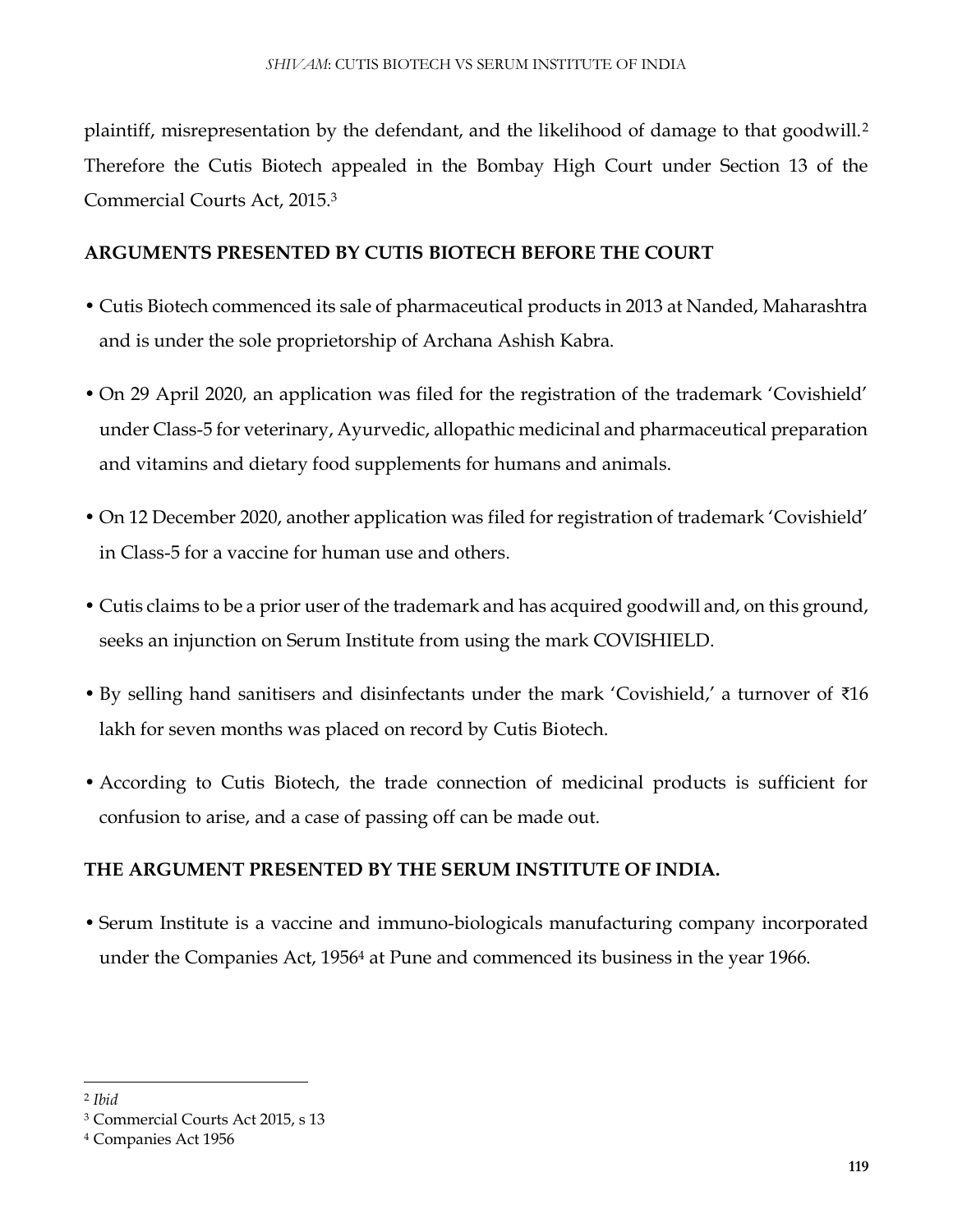plaintiff, misrepresentation by the defendant, and the likelihood of damage to that goodwill.<sup>2</sup> Therefore the Cutis Biotech appealed in the Bombay High Court under Section 13 of the Commercial Courts Act, 2015.<sup>3</sup>

#### **ARGUMENTS PRESENTED BY CUTIS BIOTECH BEFORE THE COURT**

- Cutis Biotech commenced its sale of pharmaceutical products in 2013 at Nanded, Maharashtra and is under the sole proprietorship of Archana Ashish Kabra.
- On 29 April 2020, an application was filed for the registration of the trademark 'Covishield' under Class-5 for veterinary, Ayurvedic, allopathic medicinal and pharmaceutical preparation and vitamins and dietary food supplements for humans and animals.
- On 12 December 2020, another application was filed for registration of trademark 'Covishield' in Class-5 for a vaccine for human use and others.
- Cutis claims to be a prior user of the trademark and has acquired goodwill and, on this ground, seeks an injunction on Serum Institute from using the mark COVISHIELD.
- By selling hand sanitisers and disinfectants under the mark 'Covishield,' a turnover of ₹16 lakh for seven months was placed on record by Cutis Biotech.
- According to Cutis Biotech, the trade connection of medicinal products is sufficient for confusion to arise, and a case of passing off can be made out.

### **THE ARGUMENT PRESENTED BY THE SERUM INSTITUTE OF INDIA.**

• Serum Institute is a vaccine and immuno-biologicals manufacturing company incorporated under the Companies Act, 1956<sup>4</sup> at Pune and commenced its business in the year 1966.

 $\overline{\phantom{a}}$ 

<sup>2</sup> *Ibid*

<sup>3</sup> Commercial Courts Act 2015, s 13

<sup>4</sup> Companies Act 1956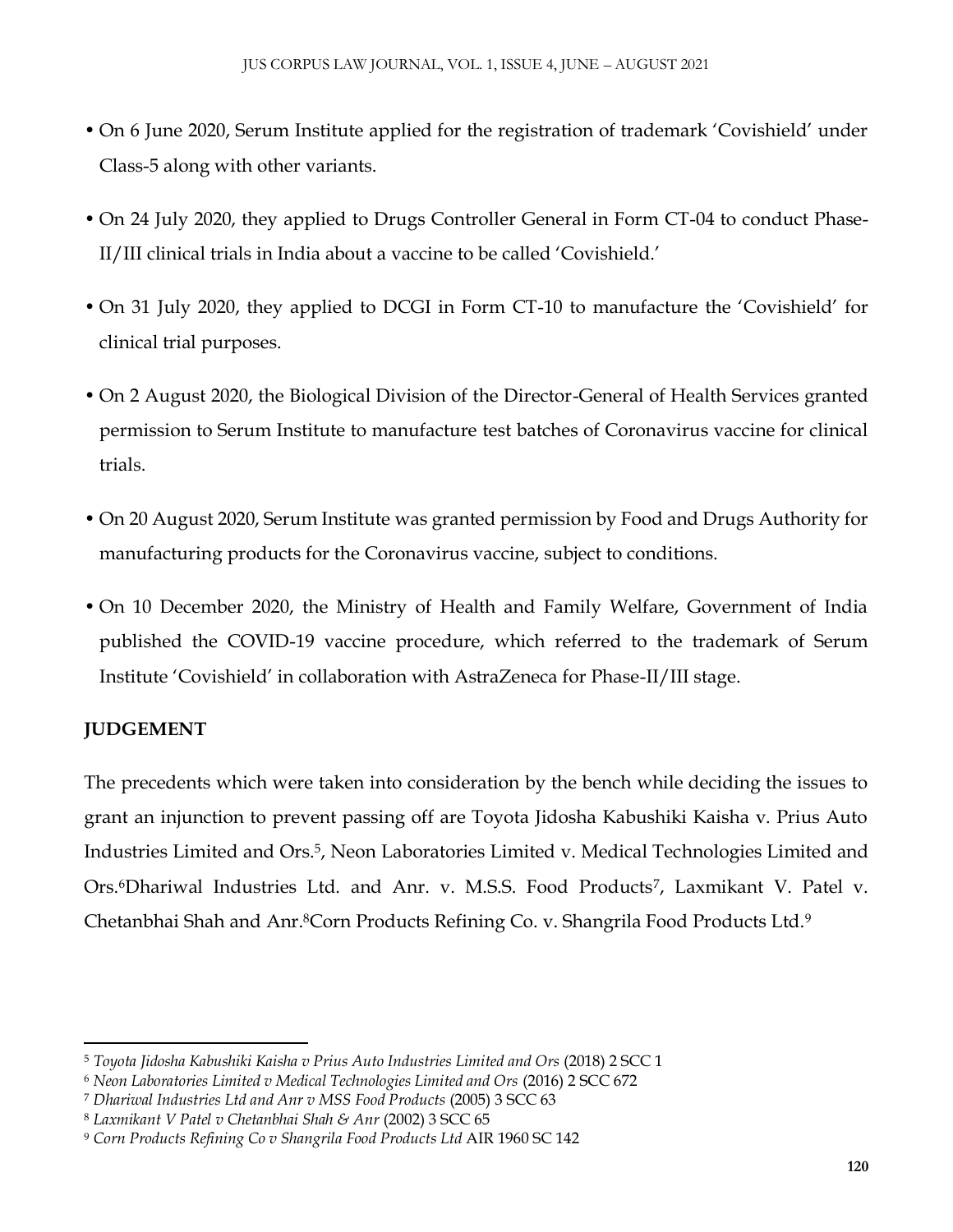- On 6 June 2020, Serum Institute applied for the registration of trademark 'Covishield' under Class-5 along with other variants.
- On 24 July 2020, they applied to Drugs Controller General in Form CT-04 to conduct Phase-II/III clinical trials in India about a vaccine to be called 'Covishield.'
- On 31 July 2020, they applied to DCGI in Form CT-10 to manufacture the 'Covishield' for clinical trial purposes.
- On 2 August 2020, the Biological Division of the Director-General of Health Services granted permission to Serum Institute to manufacture test batches of Coronavirus vaccine for clinical trials.
- On 20 August 2020, Serum Institute was granted permission by Food and Drugs Authority for manufacturing products for the Coronavirus vaccine, subject to conditions.
- On 10 December 2020, the Ministry of Health and Family Welfare, Government of India published the COVID-19 vaccine procedure, which referred to the trademark of Serum Institute 'Covishield' in collaboration with AstraZeneca for Phase-II/III stage.

#### **JUDGEMENT**

 $\overline{a}$ 

The precedents which were taken into consideration by the bench while deciding the issues to grant an injunction to prevent passing off are Toyota Jidosha Kabushiki Kaisha v. Prius Auto Industries Limited and Ors.<sup>5</sup>, Neon Laboratories Limited v. Medical Technologies Limited and Ors.<sup>6</sup>Dhariwal Industries Ltd. and Anr. v. M.S.S. Food Products<sup>7</sup>, Laxmikant V. Patel v. Chetanbhai Shah and Anr.8Corn Products Refining Co. v. Shangrila Food Products Ltd.<sup>9</sup>

<sup>5</sup> *Toyota Jidosha Kabushiki Kaisha v Prius Auto Industries Limited and Ors* (2018) 2 SCC 1

<sup>6</sup> *Neon Laboratories Limited v Medical Technologies Limited and Ors* (2016) 2 SCC 672

<sup>7</sup> *Dhariwal Industries Ltd and Anr v MSS Food Products* (2005) 3 SCC 63

<sup>8</sup> *Laxmikant V Patel v Chetanbhai Shah & Anr* (2002) 3 SCC 65

<sup>9</sup> *Corn Products Refining Co v Shangrila Food Products Ltd* AIR 1960 SC 142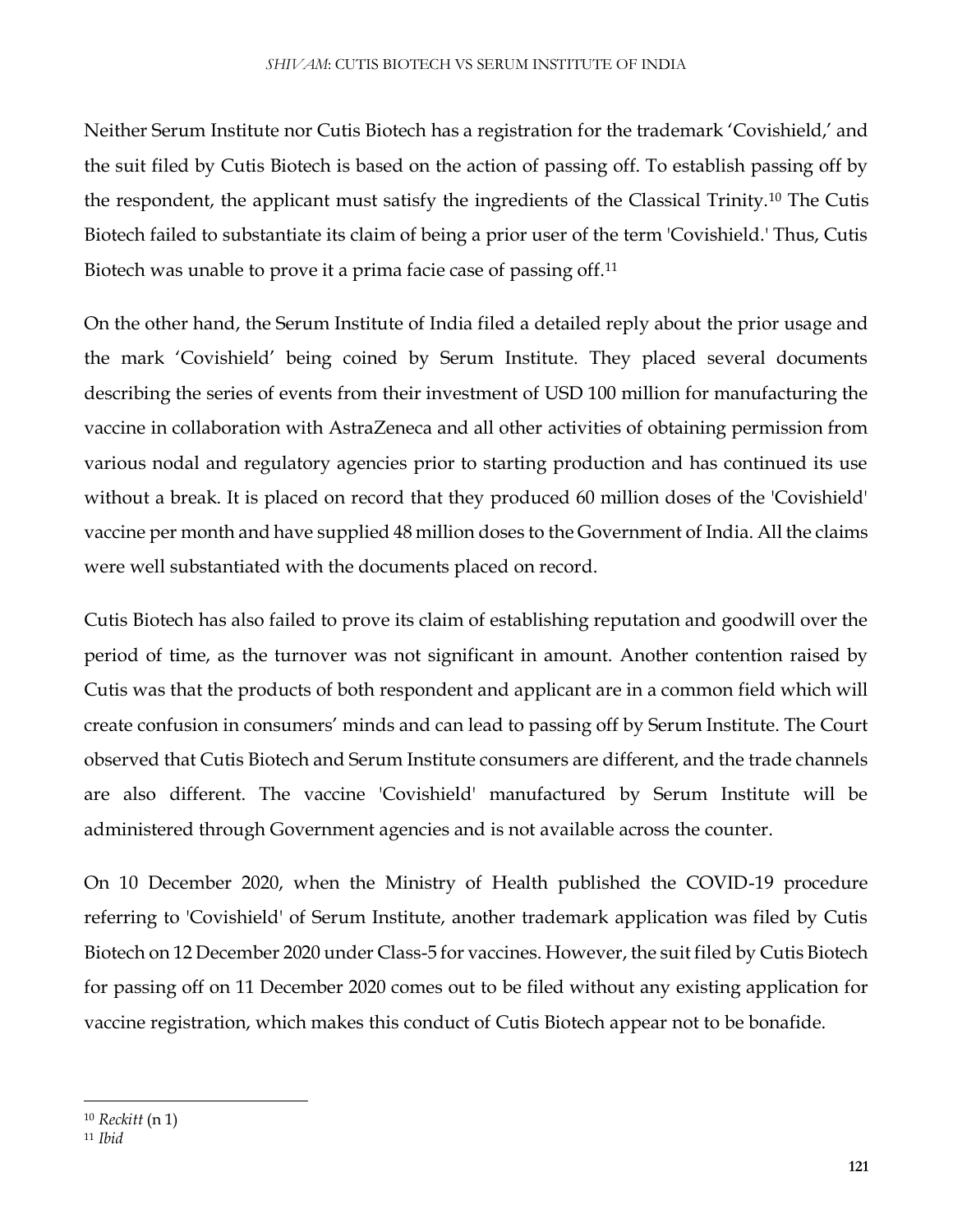Neither Serum Institute nor Cutis Biotech has a registration for the trademark 'Covishield,' and the suit filed by Cutis Biotech is based on the action of passing off. To establish passing off by the respondent, the applicant must satisfy the ingredients of the Classical Trinity.<sup>10</sup> The Cutis Biotech failed to substantiate its claim of being a prior user of the term 'Covishield.' Thus, Cutis Biotech was unable to prove it a prima facie case of passing off.<sup>11</sup>

On the other hand, the Serum Institute of India filed a detailed reply about the prior usage and the mark 'Covishield' being coined by Serum Institute. They placed several documents describing the series of events from their investment of USD 100 million for manufacturing the vaccine in collaboration with AstraZeneca and all other activities of obtaining permission from various nodal and regulatory agencies prior to starting production and has continued its use without a break. It is placed on record that they produced 60 million doses of the 'Covishield' vaccine per month and have supplied 48 million doses to the Government of India. All the claims were well substantiated with the documents placed on record.

Cutis Biotech has also failed to prove its claim of establishing reputation and goodwill over the period of time, as the turnover was not significant in amount. Another contention raised by Cutis was that the products of both respondent and applicant are in a common field which will create confusion in consumers' minds and can lead to passing off by Serum Institute. The Court observed that Cutis Biotech and Serum Institute consumers are different, and the trade channels are also different. The vaccine 'Covishield' manufactured by Serum Institute will be administered through Government agencies and is not available across the counter.

On 10 December 2020, when the Ministry of Health published the COVID-19 procedure referring to 'Covishield' of Serum Institute, another trademark application was filed by Cutis Biotech on 12 December 2020 under Class-5 for vaccines. However, the suit filed by Cutis Biotech for passing off on 11 December 2020 comes out to be filed without any existing application for vaccine registration, which makes this conduct of Cutis Biotech appear not to be bonafide.

 $\overline{\phantom{a}}$ 

<sup>10</sup> *Reckitt* (n 1)

<sup>11</sup> *Ibid*